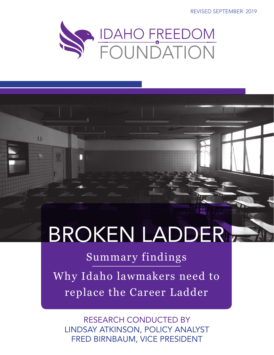REVISED SEPTEMBER 2019



# BROKEN LADDER

里

Summary findings

Why Idaho lawmakers need to replace the Career Ladder

RESEARCH CONDUCTED BY LINDSAY ATKINSON, POLICY ANALYST FRED BIRNBAUM, VICE PRESIDENT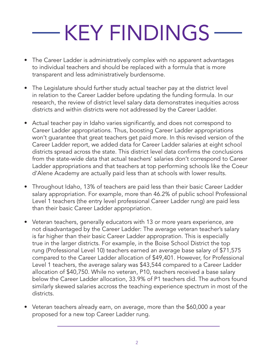# KEY FINDINGS

- The Career Ladder is administratively complex with no apparent advantages to individual teachers and should be replaced with a formula that is more transparent and less administratively burdensome.
- The Legislature should further study actual teacher pay at the district level in relation to the Career Ladder before updating the funding formula. In our research, the review of district level salary data demonstrates inequities across districts and within districts were not addressed by the Career Ladder.
- Actual teacher pay in Idaho varies significantly, and does not correspond to Career Ladder appropriations. Thus, boosting Career Ladder appropriations won't guarantee that great teachers get paid more. In this revised version of the Career Ladder report, we added data for Career Ladder salaries at eight school districts spread across the state. This district level data confirms the conclusions from the state-wide data that actual teachers' salaries don't correspond to Career Ladder appropriations and that teachers at top performing schools like the Coeur d'Alene Academy are actually paid less than at schools with lower results.
- Throughout Idaho, 13% of teachers are paid less than their basic Career Ladder salary appropriation. For example, more than 46.2% of public school Professional Level 1 teachers (the entry level professional Career Ladder rung) are paid less than their basic Career Ladder appropriation.
- Veteran teachers, generally educators with 13 or more years experience, are not disadvantaged by the Career Ladder: The average veteran teacher's salary is far higher than their basic Career Ladder appropration. This is especially true in the larger districts. For example, in the Boise School District the top rung (Professional Level 10) teachers earned an average base salary of \$71,575 compared to the Career Ladder allocation of \$49,401. However, for Professional Level 1 teachers, the average salary was \$43,544 compared to a Career Ladder allocation of \$40,750. While no veteran, P10, teachers received a base salary below the Career Ladder allocation, 33.9% of P1 teachers did. The authors found similarly skewed salaries accross the teaching experience spectrum in most of the districts.
- Veteran teachers already earn, on average, more than the \$60,000 a year proposed for a new top Career Ladder rung.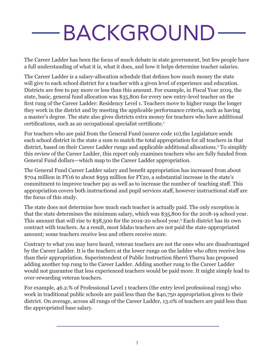# BACKGROUND

The Career Ladder has been the focus of much debate in state government, but few people have a full understanding of what it is, what it does, and how it helps determine teacher salaries.

The Career Ladder is a salary-allocation schedule that defines how much money the state will give to each school district for a teacher with a given level of experience and education. Districts are free to pay more or less than this amount. For example, in Fiscal Year 2019, the state, basic, general fund allocation was \$35,800 for every new entry-level teacher on the first rung of the Career Ladder: Residency Level 1. Teachers move to higher rungs the longer they work in the district and by meeting the applicable performance criteria, such as having a master's degree. The state also gives districts extra money for teachers who have additional certifications, such as an occupational specialist certificate.<sup>1</sup>

For teachers who are paid from the General Fund (source code 10),the Legislature sends each school district in the state a sum to match the total appropriation for all teachers in that district, based on their Career Ladder rungs and applicable additional allocations.2 To simplify this review of the Career Ladder, this report only examines teachers who are fully funded from General Fund dollars—which map to the Career Ladder appropriation.

The General Fund Career Ladder salary and benefit appropriation has increased from about \$704 million in FY16 to about \$959 million for FY20, a substantial increase in the state's commitment to improve teacher pay as well as to increase the number of teaching staff. This appropriation covers both instructional and pupil services staff, however instructional staff are the focus of this study.

The state does not determine how much each teacher is actually paid. The only exception is that the state determines the minimum salary, which was \$35,800 for the 2018-19 school year. This amount that will rise to \$38,500 for the 2019-20 school year.3 Each district has its own contract with teachers. As a result, most Idaho teachers are not paid the state-appropriated amount; some teachers receive less and others receive more.

Contrary to what you may have heard, veteran teachers are not the ones who are disadvantaged by the Career Ladder. It is the teachers at the lower rungs on the ladder who often receive less than their appropriation. Superintendent of Public Instruction Sherri Ybarra has proposed adding another top rung to the Career Ladder. Adding another rung to the Career Ladder would not guarantee that less experienced teachers would be paid more. It might simply lead to over-rewarding veteran teachers.

For example, 46.2.% of Professional Level 1 teachers (the entry level professional rung) who work in traditional public schools are paid less than the \$40,750 appropriation given to their district. On average, across all rungs of the Career Ladder, 13.0% of teachers are paid less than the appropriated base salary.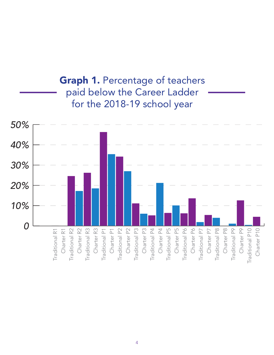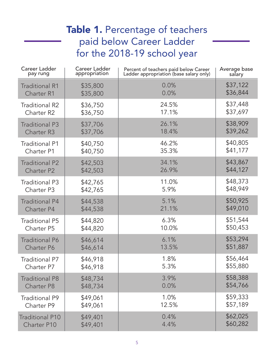## Table 1. Percentage of teachers paid below Career Ladder for the 2018-19 school year

| Career Ladder<br><b>Career Ladder</b><br>appropriation<br>pay rung |          | Percent of teachers paid below Career<br>Ladder appropriation (base salary only) | Average base<br>salary |
|--------------------------------------------------------------------|----------|----------------------------------------------------------------------------------|------------------------|
| <b>Traditional R1</b>                                              | \$35,800 | 0.0%                                                                             | \$37,122               |
| <b>Charter R1</b>                                                  | \$35,800 | 0.0%                                                                             | \$36,844               |
| <b>Traditional R2</b>                                              | \$36,750 | 24.5%                                                                            | \$37,448               |
| Charter <sub>R2</sub>                                              | \$36,750 | 17.1%                                                                            | \$37,697               |
| <b>Traditional P3</b>                                              | \$37,706 | 26.1%                                                                            | \$38,909               |
| <b>Charter R3</b>                                                  | \$37,706 | 18.4%                                                                            | \$39,262               |
| <b>Traditional P1</b>                                              | \$40,750 | 46.2%                                                                            | \$40,805               |
| <b>Charter P1</b>                                                  | \$40,750 | 35.3%                                                                            | \$41,177               |
| <b>Traditional P2</b>                                              | \$42,503 | 34.1%                                                                            | \$43,867               |
| <b>Charter P2</b>                                                  | \$42,503 | 26.9%                                                                            | \$44,127               |
| <b>Traditional P3</b>                                              | \$42,765 | 11.0%                                                                            | \$48,373               |
| Charter P3                                                         | \$42,765 | 5.9%                                                                             | \$48,949               |
| <b>Traditional P4</b>                                              | \$44,538 | 5.1%                                                                             | \$50,925               |
| <b>Charter P4</b>                                                  | \$44,538 | 21.1%                                                                            | \$49,010               |
| <b>Traditional P5</b>                                              | \$44,820 | 6.3%                                                                             | \$51,544               |
| <b>Charter P5</b>                                                  | \$44,820 | 10.0%                                                                            | \$50,453               |
| <b>Traditional P6</b>                                              | \$46,614 | 6.1%                                                                             | \$53,294               |
| <b>Charter P6</b>                                                  | \$46,614 | 13.5%                                                                            | \$51,887               |
| <b>Traditional P7</b>                                              | \$46,918 | 1.8%                                                                             | \$56,464               |
| Charter P7                                                         | \$46,918 | 5.3%                                                                             | \$55,880               |
| <b>Traditional P8</b>                                              | \$48,734 | 3.9%                                                                             | \$58,388               |
| <b>Charter P8</b>                                                  | \$48,734 | 0.0%                                                                             | \$54,766               |
| <b>Traditional P9</b>                                              | \$49,061 | 1.0%                                                                             | \$59,333               |
| Charter P9                                                         | \$49,061 | 12.5%                                                                            | \$57,189               |
| <b>Traditional P10</b>                                             | \$49,401 | 0.4%                                                                             | \$62,025               |
| Charter P10                                                        | \$49,401 | 4.4%                                                                             | \$60,282               |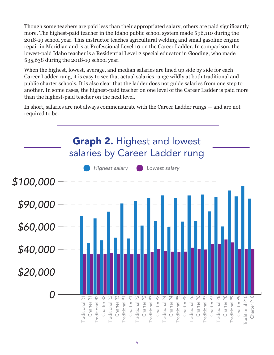Though some teachers are paid less than their appropriated salary, others are paid significantly more. The highest-paid teacher in the Idaho public school system made \$96,110 during the 2018-19 school year. This instructor teaches agricultural welding and small gasoline engine repair in Meridian and is at Professional Level 10 on the Career Ladder. In comparison, the lowest-paid Idaho teacher is a Residential Level 2 special educator in Gooding, who made \$35,638 during the 2018-19 school year.

When the highest, lowest, average, and median salaries are lined up side by side for each Career Ladder rung, it is easy to see that actual salaries range wildly at both traditional and public charter schools. It is also clear that the ladder does not guide salaries from one step to another. In some cases, the highest-paid teacher on one level of the Career Ladder is paid more than the highest-paid teacher on the next level.

In short, salaries are not always commensurate with the Career Ladder rungs — and are not required to be.

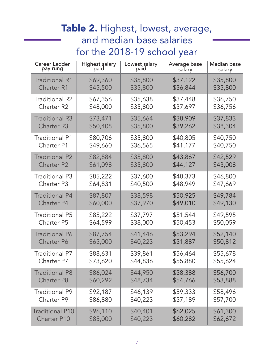## Table 2. Highest, lowest, average, and median base salaries for the 2018-19 school year

| <b>Career Ladder</b>   | Highest salary<br>paid | Lowest salary | Average base | <b>Median base</b> |
|------------------------|------------------------|---------------|--------------|--------------------|
| pay rung               |                        | paid          | salary       | salary             |
| <b>Traditional R1</b>  | \$69,360               | \$35,800      | \$37,122     | \$35,800           |
| <b>Charter R1</b>      | \$45,500               | \$35,800      | \$36,844     | \$35,800           |
| <b>Traditional R2</b>  | \$67,356               | \$35,638      | \$37,448     | \$36,750           |
| <b>Charter R2</b>      | \$48,000               | \$35,800      | \$37,697     | \$36,756           |
| <b>Traditional R3</b>  | \$73,471               | \$35,664      | \$38,909     | \$37,833           |
| <b>Charter R3</b>      | \$50,408               | \$35,800      | \$39,262     | \$38,304           |
| <b>Traditional P1</b>  | \$80,706               | \$35,800      | \$40,805     | \$40,750           |
| <b>Charter P1</b>      | \$49,660               | \$36,565      | \$41,177     | \$40,750           |
| <b>Traditional P2</b>  | \$82,884               | \$35,800      | \$43,867     | \$42,529           |
| <b>Charter P2</b>      | \$61,098               | \$35,800      | \$44,127     | \$43,008           |
| <b>Traditional P3</b>  | \$85,222               | \$37,600      | \$48,373     | \$46,800           |
| Charter P3             | \$64,831               | \$40,500      | \$48,949     | \$47,669           |
| <b>Traditional P4</b>  | \$87,807               | \$38,598      | \$50,925     | \$49,784           |
| <b>Charter P4</b>      | \$60,000               | \$37,970      | \$49,010     | \$49,130           |
| <b>Traditional P5</b>  | \$85,222               | \$37,797      | \$51,544     | \$49,595           |
| <b>Charter P5</b>      | \$64,599               | \$38,000      | \$50,453     | \$50,059           |
| <b>Traditional P6</b>  | \$87,754               | \$41,446      | \$53,294     | \$52,140           |
| <b>Charter P6</b>      | \$65,000               | \$40,223      | \$51,887     | \$50,812           |
| <b>Traditional P7</b>  | \$88,631               | \$39,861      | \$56,464     | \$55,678           |
| Charter P7             | \$73,620               | \$44,836      | \$55,880     | \$55,624           |
| <b>Traditional P8</b>  | \$86,024               | \$44,950      | \$58,388     | \$56,700           |
| <b>Charter P8</b>      | \$60,292               | \$48,734      | \$54,766     | \$53,888           |
| <b>Traditional P9</b>  | \$92,187               | \$46,139      | \$59,333     | \$58,496           |
| Charter P9             | \$86,880               | \$40,223      | \$57,189     | \$57,700           |
| <b>Traditional P10</b> | \$96,110               | \$40,401      | \$62,025     | \$61,300           |
| <b>Charter P10</b>     | \$85,000               | \$40,223      | \$60,282     | \$62,672           |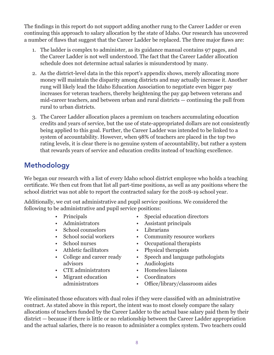The findings in this report do not support adding another rung to the Career Ladder or even continuing this approach to salary allocation by the state of Idaho. Our research has uncovered a number of flaws that suggest that the Career Ladder be replaced. The three major flaws are:

- 1. The ladder is complex to administer, as its guidance manual contains 97 pages, and the Career Ladder is not well understood. The fact that the Career Ladder allocation schedule does not determine actual salaries is misunderstood by many.
- 2. As the district-level data in the this report's appendix shows, merely allocating more money will maintain the disparity among districts and may actually increase it. Another rung will likely lead the Idaho Education Association to negotiate even bigger pay increases for veteran teachers, thereby heightening the pay gap between veterans and mid-career teachers, and between urban and rural districts — continuing the pull from rural to urban districts.
- 3. The Career Ladder allocation places a premium on teachers accumulating education credits and years of service, but the use of state-appropriated dollars are not consistently being applied to this goal. Further, the Career Ladder was intended to be linked to a system of accountability. However, when 98% of teachers are placed in the top two rating levels, it is clear there is no genuine system of accountability, but rather a system that rewards years of service and education credits instead of teaching excellence.

### Methodology

We began our research with a list of every Idaho school district employee who holds a teaching certificate. We then cut from that list all part-time positions, as well as any positions where the school district was not able to report the contracted salary for the 2018-19 school year.

Additionally, we cut out administrative and pupil service positions. We considered the following to be administrative and pupil service positions:

- Principals
- Administrators
- School counselors
- School social workers
- School nurses
- Athletic facilitators
- College and career ready advisors
- CTE administrators
- Migrant education administrators
- Special education directors
- Assistant principals
- Librarians
- Community resource workers
- Occupational therapists
- Physical therapists
- Speech and language pathologists
- Audiologists
- Homeless liaisons
- Coordinators
- Office/library/classroom aides

We eliminated those educators with dual roles if they were classified with an administrative contract. As stated above in this report, the intent was to most closely compare the salary allocations of teachers funded by the Career Ladder to the actual base salary paid them by their district — because if there is little or no relationship between the Career Ladder appropriation and the actual salaries, there is no reason to administer a complex system. Two teachers could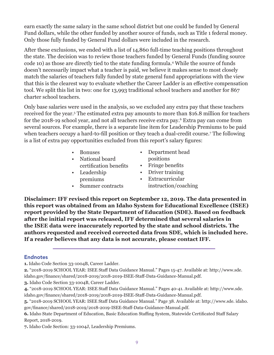earn exactly the same salary in the same school district but one could be funded by General Fund dollars, while the other funded by another source of funds, such as Title 1 federal money. Only those fully funded by General Fund dollars were included in the research.

After these exclusions, we ended with a list of 14,860 full-time teaching positions throughout the state. The decision was to review those teachers funded by General Funds (funding source code 10) as those are directly tied to the state funding formula.4 While the source of funds doesn't necessarily impact what a teacher is paid, we believe it makes sense to most closely match the salaries of teachers fully funded by state general fund appropriations with the view that this is the clearest way to evaluate whether the Career Ladder is an effective compensation tool. We split this list in two: one for 13,993 traditional school teachers and another for 867 charter school teachers.

Only base salaries were used in the analysis, so we excluded any extra pay that these teachers received for the year.5 The estimated extra pay amounts to more than \$16.8 million for teachers for the 2018-19 school year, and not all teachers receive extra pay.6 Extra pay can come from several sources. For example, there is a separate line item for Leadership Premiums to be paid when teachers occupy a hard-to-fill position or they teach a dual-credit course.<sup>7</sup> The following is a list of extra pay opportunities excluded from this report's salary figures:

- Bonuses
- National board
- certification benefits • Leadership
- premiums
- Summer contracts
- Department head positions
- Fringe benefits
- Driver training
- Extracurricular instruction/coaching

**Disclaimer: IFF revised this report on September 12, 2019. The data presented in this report was obtained from an Idaho System for Educational Excellence (ISEE) report provided by the State Department of Education (SDE). Based on feedback after the initial report was released, IFF determined that several salaries in the ISEE data were inaccurately reported by the state and school districts. The authors requested and received corrected data from SDE, which is included here. If a reader believes that any data is not accurate, please contact IFF.**

### Endnotes

**1.** Idaho Code Section 33-1004B, Career Ladder.

**<sup>2.</sup>** "2018-2019 SCHOOL YEAR: ISEE Staff Data Guidance Manual." Pages 15-47. Available at: http://www.sde. idaho.gov/finance/shared/2018-2019/2018-2019-ISEE-Staff-Data-Guidance-Manual.pdf.

**<sup>3.</sup>** Idaho Code Section 33-1004B, Career Ladder.

**<sup>4.</sup>** "2018-2019 SCHOOL YEAR: ISEE Staff Data Guidance Manual." Pages 40-41. Available at: http://www.sde. idaho.gov/finance/shared/2018-2019/2018-2019-ISEE-Staff-Data-Guidance-Manual.pdf.

**<sup>5.</sup>** "2018-2019 SCHOOL YEAR: ISEE Staff Data Guidance Manual." Page 38. Available at: http://www.sde. idaho. gov/finance/shared/2018-2019/2018-2019-ISEE-Staff-Data-Guidance-Manual.pdf.

**<sup>6.</sup>** Idaho State Department of Education, Basic Education Staffing System, Statewide Certificated Staff Salary Report, 2018-2019.

**<sup>7.</sup>** Idaho Code Section: 33-1004J, Leadership Premiums.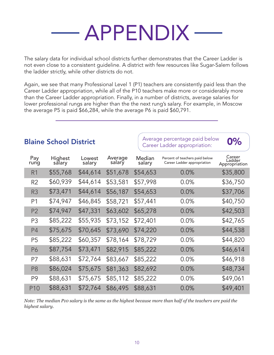# APPENDIX

The salary data for individual school districts further demonstrates that the Career Ladder is not even close to a consistent guideline. A district with few resources like Sugar-Salem follows the ladder strictly, while other districts do not.

Again, we see that many Professional Level 1 (P1) teachers are consistently paid less than the Career Ladder appropriation, while all of the P10 teachers make more or considerably more than the Career Ladder appropriation. Finally, in a number of districts, average salaries for lower professional rungs are higher than the the next rung's salary. For example, in Moscow the average P5 is paid \$66,284, while the average P6 is paid \$60,791.

|                 |                   |                  |                   |                  | والمستحدث والمستحدث والمتواطن                                 |                                   |
|-----------------|-------------------|------------------|-------------------|------------------|---------------------------------------------------------------|-----------------------------------|
| Pay<br>rung     | Highest<br>sălary | Lowest<br>salary | Average<br>salary | Median<br>salary | Percent of teachers paid below<br>Career Ladder appropriation | Career<br>Ladder<br>Appropriation |
| R <sub>1</sub>  | \$55,768          | \$44,614         | \$51,678          | \$54,653         | 0.0%                                                          | \$35,800                          |
| R <sub>2</sub>  | \$60,939          | \$44,614         | \$53,581          | \$57,998         | $0.0\%$                                                       | \$36,750                          |
| R <sub>3</sub>  | \$73,471          | \$44,614         | \$56,187          | \$54,653         | 0.0%                                                          | \$37,706                          |
| P <sub>1</sub>  | \$74,947          | \$46,845         | \$58,721          | \$57,441         | $0.0\%$                                                       | \$40,750                          |
| P <sub>2</sub>  | \$74,947          | \$47,331         | \$63,602          | \$65,278         | $0.0\%$                                                       | \$42,503                          |
| P <sub>3</sub>  | \$85,222          | \$55,935         | \$73,152          | \$72,401         | $0.0\%$                                                       | \$42,765                          |
| P <sub>4</sub>  | \$75,675          | \$70,645         | \$73,690          | \$74,220         | 0.0%                                                          | \$44,538                          |
| P <sub>5</sub>  | \$85,222          | \$60,357         | \$78,164          | \$78,729         | 0.0%                                                          | \$44,820                          |
| P6              | \$87,754          | \$73,471         | \$82,915          | \$85,222         | 0.0%                                                          | \$46,614                          |
| P7              | \$88,631          | \$72,764         | \$83,667          | \$85,222         | 0.0%                                                          | \$46,918                          |
| P <sub>8</sub>  | \$86,024          | \$75,675         | \$81,363          | \$82,692         | 0.0%                                                          | \$48,734                          |
| P9              | \$88,631          | \$75,675         | \$85,112          | \$85,222         | 0.0%                                                          | \$49,061                          |
| P <sub>10</sub> | \$88,631          | \$72,764         | \$86,495          | \$88,631         | 0.0%                                                          | \$49,401                          |
|                 |                   |                  |                   |                  |                                                               |                                   |

**Blaine School District**  $\begin{array}{c} \begin{array}{c} \end{array}$  Average percentage paid below  $\begin{array}{c} \end{array}$  **0%** 

*Note: The median P10 salary is the same as the highest because more than half of the teachers are paid the highest salary.*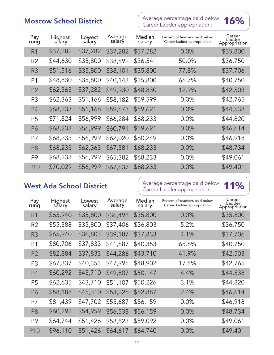## $M$ oscow School District  $M$  Average percentage paid below  $M$ 6%



| Pay<br>rung    | Highest<br>sălary | Lowest<br>salary | Average<br>salary | Median<br>salary | Percent of teachers paid below<br>Career Ladder appropriation | Career<br>Ladder<br>Appropriation |
|----------------|-------------------|------------------|-------------------|------------------|---------------------------------------------------------------|-----------------------------------|
| R <sub>1</sub> | \$37,282          | \$37,282         | \$37,282          | \$37,282         | $0.0\%$                                                       | \$35,800                          |
| R <sub>2</sub> | \$44,630          | \$35,800         | \$38,592          | \$36,541         | 50.0%                                                         | \$36,750                          |
| R <sub>3</sub> | \$51,516          | \$35,800         | \$38,101          | \$35,800         | 77.8%                                                         | \$37,706                          |
| P <sub>1</sub> | \$48,830          | \$35,800         | \$40,143          | \$35,800         | 66.7%                                                         | \$40,750                          |
| P <sub>2</sub> | \$62,363          | \$37,282         | \$49,930          | \$48,830         | 12.9%                                                         | \$42,503                          |
| P <sub>3</sub> | \$62,363          | \$51,166         | \$58,182          | \$59,599         | 0.0%                                                          | \$42,765                          |
| P <sub>4</sub> | \$68,233          | \$51,166         | \$59,673          | \$59,621         | $0.0\%$                                                       | \$44,538                          |
| P <sub>5</sub> | \$71,824          | \$56,999         | \$66,284          | \$68,233         | 0.0%                                                          | \$44,820                          |
| P6             | \$68,233          | \$56,999         | \$60,791          | \$59,621         | $0.0\%$                                                       | \$46,614                          |
| P7             | \$68,233          | \$56,999         | \$62,020          | \$60,249         | $0.0\%$                                                       | \$46,918                          |
| P <sub>8</sub> | \$68,233          | \$62,363         | \$67,581          | \$68,233         | $0.0\%$                                                       | \$48,734                          |
| P <sub>9</sub> | \$68,233          | \$56,999         | \$65,382          | \$68,233         | $0.0\%$                                                       | \$49,061                          |
| <b>P10</b>     | \$70,029          | \$56,999         | \$67,637          | \$68,233         | $0.0\%$                                                       | \$49,401                          |

West Ada School District  $\parallel$  Average percentage paid below 11%

| Pay<br>rung    | Highest<br>salary | Lowest<br>salary | Average<br>salary | Median<br>salary | Percent of teachers paid below<br>Career Ladder appropriation | Career<br>Ladder<br>Appropriation |
|----------------|-------------------|------------------|-------------------|------------------|---------------------------------------------------------------|-----------------------------------|
| R1             | \$65,940          | \$35,800         | \$36,498          | \$35,800         | 0.0%                                                          | \$35,800                          |
| R <sub>2</sub> | \$55,388          | \$35,800         | \$37,406          | \$36,803         | 5.2%                                                          | \$36,750                          |
| R <sub>3</sub> | \$65,940          | \$36,803         | \$39,187          | \$37,833         | 4.1%                                                          | \$37,706                          |
| P <sub>1</sub> | \$80,706          | \$37,833         | \$41,687          | \$40,353         | 65.6%                                                         | \$40,750                          |
| P <sub>2</sub> | \$82,884          | \$37,833         | \$44,286          | \$43,710         | 41.9%                                                         | \$42,503                          |
| P <sub>3</sub> | \$67,337          | \$40,353         | \$47,995          | \$48,902         | 17.5%                                                         | \$42,765                          |
| P <sub>4</sub> | \$60,292          | \$43,710         | \$49,807          | \$50,147         | 4.4%                                                          | \$44,538                          |
| P5             | \$62,635          | \$43,710         | \$51,107          | \$50,226         | 3.1%                                                          | \$44,820                          |
| P6             | \$58,188          | \$45,310         | \$53,226          | \$52,887         | 2.4%                                                          | \$46,614                          |
| P7             | \$81,439          | \$47,702         | \$55,687          | \$56,159         | $0.0\%$                                                       | \$46,918                          |
| P <sub>8</sub> | \$60,292          | \$54,959         | \$56,538          | \$56,159         | $0.0\%$                                                       | \$48,734                          |
| P9             | \$64,744          | \$51,426         | \$58,823          | \$59,092         | 0.0%                                                          | \$49,061                          |
| <b>P10</b>     | \$96,110          | \$51,426         | \$64,617          | \$64,740         | 0.0%                                                          | \$49,401                          |
|                |                   |                  |                   |                  |                                                               |                                   |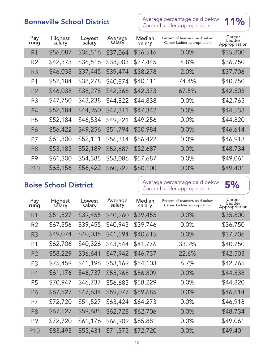### **Bonneville School District** Average percentage paid below Average percentage paid below 11%



| Pay<br>rung     | Highest<br>salary | Lowest<br>salary | Average<br>salary | Median<br>salary | Percent of teachers paid below<br>Career Ladder appropriation | Career<br>Ladder<br>Appropriation |
|-----------------|-------------------|------------------|-------------------|------------------|---------------------------------------------------------------|-----------------------------------|
| R <sub>1</sub>  | \$56,087          | \$36,516         | \$37,064          | \$36,516         | 0.0%                                                          | \$35,800                          |
| R2              | \$42,373          | \$36,516         | \$38,003          | \$37,445         | 4.8%                                                          | \$36,750                          |
| R <sub>3</sub>  | \$46,038          | \$37,445         | \$39,474          | \$38,278         | 2.0%                                                          | \$37,706                          |
| P <sub>1</sub>  | \$52,184          | \$38,278         | \$40,874          | \$40,111         | 74.4%                                                         | \$40,750                          |
| P <sub>2</sub>  | \$46,038          | \$38,278         | \$42,366          | \$42,373         | 67.5%                                                         | \$42,503                          |
| P <sub>3</sub>  | \$47,750          | \$43,238         | \$44,822          | \$44,838         | $0.0\%$                                                       | \$42,765                          |
| <b>P4</b>       | \$52,184          | \$44,950         | \$47,311          | \$47,342         | $0.0\%$                                                       | \$44,538                          |
| P <sub>5</sub>  | \$52,184          | \$46,534         | \$49,221          | \$49,256         | $0.0\%$                                                       | \$44,820                          |
| <b>P6</b>       | \$56,422          | \$49,256         | \$51,794          | \$50,984         | 0.0%                                                          | \$46,614                          |
| P7              | \$61,300          | \$52,111         | \$56,314          | \$56,422         | 0.0%                                                          | \$46,918                          |
| P <sub>8</sub>  | \$53,185          | \$52,189         | \$52,687          | \$52,687         | 0.0%                                                          | \$48,734                          |
| P9              | \$61,300          | \$54,385         | \$58,086          | \$57,687         | $0.0\%$                                                       | \$49,061                          |
| P <sub>10</sub> | \$65,156          | \$56,422         | \$60,922          | \$60,100         | 0.0%                                                          | \$49,401                          |

**Boise School District** Average percentage paid below Average percentage paid below 5%<br>Career Ladder appropriation:

| Pay<br>rung    | Highest<br>salary | Lowest<br>salary | Average<br>salary | Median<br>salary | Percent of teachers paid below<br>Career Ladder appropriation | Career<br>Ladder<br>Appropriation |
|----------------|-------------------|------------------|-------------------|------------------|---------------------------------------------------------------|-----------------------------------|
| R1             | \$51,527          | \$39,455         | \$40,260          | \$39,455         | 0.0%                                                          | \$35,800                          |
| R <sub>2</sub> | \$67,356          | \$39,455         | \$40,943          | \$39,746         | $0.0\%$                                                       | \$36,750                          |
| R <sub>3</sub> | \$49,074          | \$40,035         | \$41,594          | \$40,615         | 0.0%                                                          | \$37,706                          |
| P <sub>1</sub> | \$62,706          | \$40,326         | \$43,544          | \$41,776         | 33.9%                                                         | \$40,750                          |
| P <sub>2</sub> | \$58,229          | \$36,641         | \$47,942          | \$46,737         | 22.6%                                                         | \$42,503                          |
| P <sub>3</sub> | \$75,459          | \$41,196         | \$53,169          | \$54,103         | 6.7%                                                          | \$42,765                          |
| P4             | \$61,176          | \$46,737         | \$55,968          | \$56,809         | 0.0%                                                          | \$44,538                          |
| P <sub>5</sub> | \$70,947          | \$46,737         | \$56,685          | \$58,229         | $0.0\%$                                                       | \$44,820                          |
| P6             | \$67,527          | \$47,634         | \$59,077          | \$59,685         | 0.0%                                                          | \$46,614                          |
| P7             | \$72,720          | \$51,527         | \$63,424          | \$64,273         | 0.0%                                                          | \$46,918                          |
| P <sub>8</sub> | \$67,527          | \$59,685         | \$62,728          | \$62,706         | 0.0%                                                          | \$48,734                          |
| P9             | \$72,720          | \$61,176         | \$66,909          | \$65,881         | 0.0%                                                          | \$49,061                          |
| P10            | \$83,493          | \$55,431         | \$71,575          | \$72,720         | 0.0%                                                          | \$49,401                          |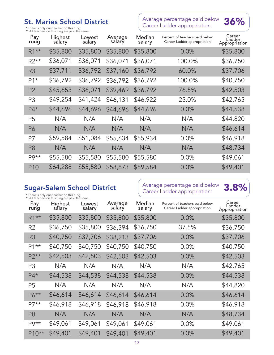\* There is only one teacher on this rung.<br>\*\* All teachers on this rung are paid the same.

## St. Maries School District  $\begin{array}{r} \text{Average percentage paid below} \ \text{36\%} \end{array}$  36%



| Pay<br>rung     | Highest<br>salary | Lowest<br>salary | Average<br>salary | Median<br>salary | Percent of teachers paid below<br>Career Ladder appropriation | Career<br>Ladder<br>Appropriation |
|-----------------|-------------------|------------------|-------------------|------------------|---------------------------------------------------------------|-----------------------------------|
| $R1***$         | \$35,800          | \$35,800         | \$35,800          | \$35,800         | $0.0\%$                                                       | \$35,800                          |
| $R2**$          | \$36,071          | \$36,071         | \$36,071          | \$36,071         | 100.0%                                                        | \$36,750                          |
| R <sub>3</sub>  | \$37,711          | \$36,792         | \$37,160          | \$36,792         | 60.0%                                                         | \$37,706                          |
| $P1*$           | \$36,792          | \$36,792         | \$36,792          | \$36,792         | 100.0%                                                        | \$40,750                          |
| P <sub>2</sub>  | \$45,653          | \$36,071         | \$39,469          | \$36,792         | 76.5%                                                         | \$42,503                          |
| P <sub>3</sub>  | \$49,254          | \$41,424         | \$46,131          | \$46,922         | 25.0%                                                         | \$42,765                          |
| $P4*$           | \$44,696          | \$44,696         | \$44,696          | \$44,696         | $0.0\%$                                                       | \$44,538                          |
| P <sub>5</sub>  | N/A               | N/A              | N/A               | N/A              | N/A                                                           | \$44,820                          |
| P6              | N/A               | N/A              | N/A               | N/A              | N/A                                                           | \$46,614                          |
| P7              | \$59,584          | \$51,084         | \$55,634          | \$55,934         | $0.0\%$                                                       | \$46,918                          |
| P <sub>8</sub>  | N/A               | N/A              | N/A               | N/A              | N/A                                                           | \$48,734                          |
| $P9**$          | \$55,580          | \$55,580         | \$55,580          | \$55,580         | $0.0\%$                                                       | \$49,061                          |
| P <sub>10</sub> | \$64,288          | \$55,580         | \$58,873          | \$59,584         | $0.0\%$                                                       | \$49,401                          |

\* There is only one teacher on this rung. \*\* All teachers on this rung are paid the same.

**Sugar-Salem School District**  $\left\{\begin{array}{c} \text{Average percentage paid below} \\ \text{Cross Ladder approximation:} \end{array}\right\}$ Average percentage paid below 3.8%<br>Career Ladder appropriation:

| Pay<br>rung    | Highest<br>sălary | Lowest<br>salary | Average<br>salary | Median<br>salary | Percent of teachers paid below<br>Career Ladder appropriation | Career<br>Ladder<br>Appropriation |
|----------------|-------------------|------------------|-------------------|------------------|---------------------------------------------------------------|-----------------------------------|
| $R1***$        | \$35,800          | \$35,800         | \$35,800          | \$35,800         | 0.0%                                                          | \$35,800                          |
| R2             | \$36,750          | \$35,800         | \$36,394          | \$36,750         | 37.5%                                                         | \$36,750                          |
| R <sub>3</sub> | \$40,750          | \$37,706         | \$38,213          | \$37,706         | 0.0%                                                          | \$37,706                          |
| P1**           | \$40,750          | \$40,750         | \$40,750          | \$40,750         | 0.0%                                                          | \$40,750                          |
| $P2**$         | \$42,503          | \$42,503         | \$42,503          | \$42,503         | 0.0%                                                          | \$42,503                          |
| P <sub>3</sub> | N/A               | N/A              | N/A               | N/A              | N/A                                                           | \$42,765                          |
| $P4*$          | \$44,538          | \$44,538         | \$44,538          | \$44,538         | $0.0\%$                                                       | \$44,538                          |
| P <sub>5</sub> | N/A               | N/A              | N/A               | N/A              | N/A                                                           | \$44,820                          |
| $P6***$        | \$46,614          | \$46,614         | \$46,614          | \$46,614         | 0.0%                                                          | \$46,614                          |
| $P7**$         | \$46,918          | \$46,918         | \$46,918          | \$46,918         | $0.0\%$                                                       | \$46,918                          |
| P <sub>8</sub> | N/A               | N/A              | N/A               | N/A              | N/A                                                           | \$48,734                          |
| P9**           | \$49,061          | \$49,061         | \$49,061          | \$49,061         | 0.0%                                                          | \$49,061                          |
| P10**          | \$49,401          | \$49,401         | \$49,401          | \$49,401         | 0.0%                                                          | \$49,401                          |
|                |                   |                  |                   |                  |                                                               |                                   |